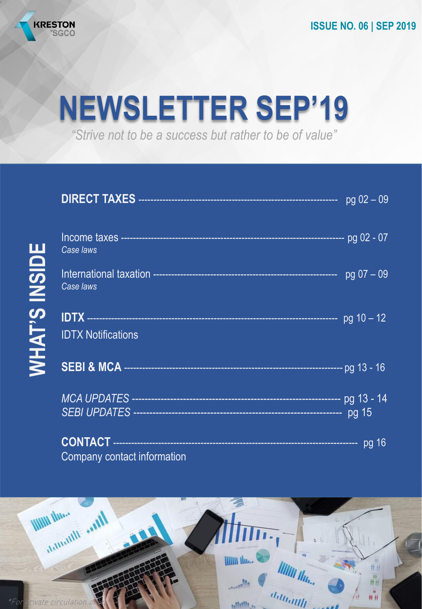

# **NEWSLETTER SEP'19**

*"Strive not to be a success but rather to be of value"*

|                      |                             | $pg 02 - 09$ |
|----------------------|-----------------------------|--------------|
|                      | Case laws                   |              |
|                      | Case laws                   |              |
| <b>WHAT'S INSIDE</b> | <b>IDTX Notifications</b>   |              |
|                      |                             |              |
|                      |                             |              |
|                      | Company contact information |              |

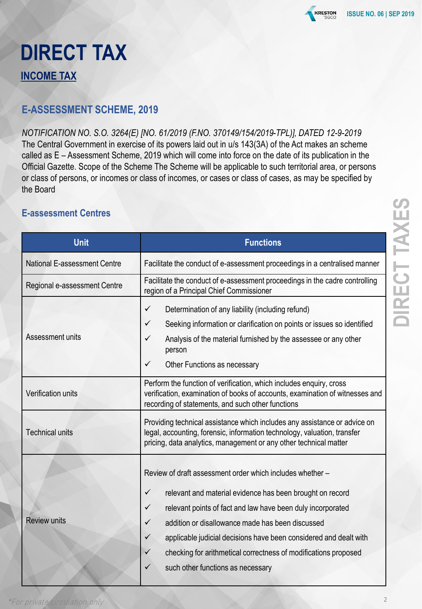

### **DIRECT TAX INCOME TAX**

#### **E-ASSESSMENT SCHEME, 2019**

*NOTIFICATION NO. S.O. 3264(E) [NO. 61/2019 (F.NO. 370149/154/2019-TPL)], DATED 12-9-2019* The Central Government in exercise of its powers laid out in u/s 143(3A) of the Act makes an scheme called as E – Assessment Scheme, 2019 which will come into force on the date of its publication in the Official Gazette. Scope of the Scheme The Scheme will be applicable to such territorial area, or persons or class of persons, or incomes or class of incomes, or cases or class of cases, as may be specified by the Board

#### **E-assessment Centres**

| <b>Unit</b>                  | <b>Functions</b>                                                                                                                                                                                                                                                                                                                                                                                                                                                                            |
|------------------------------|---------------------------------------------------------------------------------------------------------------------------------------------------------------------------------------------------------------------------------------------------------------------------------------------------------------------------------------------------------------------------------------------------------------------------------------------------------------------------------------------|
| National E-assessment Centre | Facilitate the conduct of e-assessment proceedings in a centralised manner                                                                                                                                                                                                                                                                                                                                                                                                                  |
| Regional e-assessment Centre | Facilitate the conduct of e-assessment proceedings in the cadre controlling<br>region of a Principal Chief Commissioner                                                                                                                                                                                                                                                                                                                                                                     |
| Assessment units             | Determination of any liability (including refund)<br>$\checkmark$<br>Seeking information or clarification on points or issues so identified<br>✓<br>✓<br>Analysis of the material furnished by the assessee or any other<br>person<br>✓<br>Other Functions as necessary                                                                                                                                                                                                                     |
| Verification units           | Perform the function of verification, which includes enquiry, cross<br>verification, examination of books of accounts, examination of witnesses and<br>recording of statements, and such other functions                                                                                                                                                                                                                                                                                    |
| <b>Technical units</b>       | Providing technical assistance which includes any assistance or advice on<br>legal, accounting, forensic, information technology, valuation, transfer<br>pricing, data analytics, management or any other technical matter                                                                                                                                                                                                                                                                  |
| <b>Review units</b>          | Review of draft assessment order which includes whether -<br>$\checkmark$<br>relevant and material evidence has been brought on record<br>$\checkmark$<br>relevant points of fact and law have been duly incorporated<br>$\checkmark$<br>addition or disallowance made has been discussed<br>applicable judicial decisions have been considered and dealt with<br>$\checkmark$<br>checking for arithmetical correctness of modifications proposed<br>✓<br>such other functions as necessary |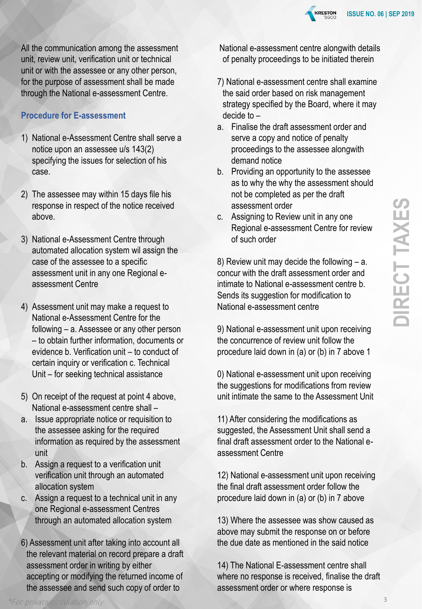

#### **Procedure for E-assessment**

- 1) National e-Assessment Centre shall serve a notice upon an assessee u/s 143(2) specifying the issues for selection of his case.
- 2) The assessee may within 15 days file his response in respect of the notice received above.
- 3) National e-Assessment Centre through automated allocation system wil assign the case of the assessee to a specific assessment unit in any one Regional eassessment Centre
- 4) Assessment unit may make a request to National e-Assessment Centre for the following – a. Assessee or any other person – to obtain further information, documents or evidence b. Verification unit – to conduct of certain inquiry or verification c. Technical Unit – for seeking technical assistance
- 5) On receipt of the request at point 4 above, National e-assessment centre shall –
- a. Issue appropriate notice or requisition to the assessee asking for the required information as required by the assessment unit
- b. Assign a request to a verification unit verification unit through an automated allocation system
- c. Assign a request to a technical unit in any one Regional e-assessment Centres through an automated allocation system
- 6) Assessment unit after taking into account all the relevant material on record prepare a draft assessment order in writing by either accepting or modifying the returned income of the assessee and send such copy of order to

National e-assessment centre alongwith details of penalty proceedings to be initiated therein

**KRESTON** 

- 7) National e-assessment centre shall examine the said order based on risk management strategy specified by the Board, where it may decide to –
- a. Finalise the draft assessment order and serve a copy and notice of penalty proceedings to the assessee alongwith demand notice
- b. Providing an opportunity to the assessee as to why the why the assessment should not be completed as per the draft assessment order
- c. Assigning to Review unit in any one Regional e-assessment Centre for review of such order

8) Review unit may decide the following – a. concur with the draft assessment order and intimate to National e-assessment centre b. Sends its suggestion for modification to National e-assessment centre

9) National e-assessment unit upon receiving the concurrence of review unit follow the procedure laid down in (a) or (b) in 7 above 1

0) National e-assessment unit upon receiving the suggestions for modifications from review unit intimate the same to the Assessment Unit

11) After considering the modifications as suggested, the Assessment Unit shall send a final draft assessment order to the National eassessment Centre

12) National e-assessment unit upon receiving the final draft assessment order follow the procedure laid down in (a) or (b) in 7 above

13) Where the assessee was show caused as above may submit the response on or before the due date as mentioned in the said notice

14) The National E-assessment centre shall where no response is received, finalise the draft assessment order or where response is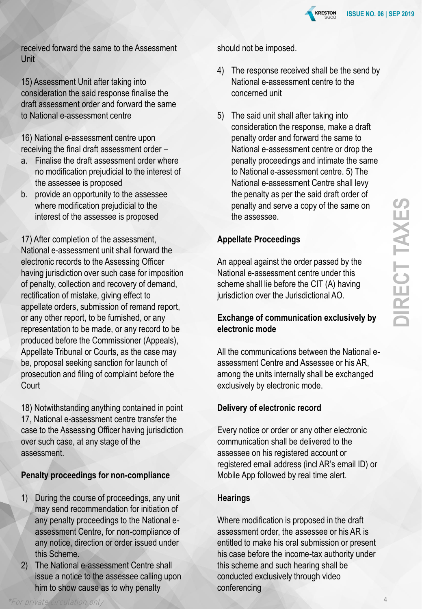

received forward the same to the Assessment Unit

15) Assessment Unit after taking into consideration the said response finalise the draft assessment order and forward the same to National e-assessment centre

16) National e-assessment centre upon receiving the final draft assessment order –

- a. Finalise the draft assessment order where no modification prejudicial to the interest of the assessee is proposed
- b. provide an opportunity to the assessee where modification prejudicial to the interest of the assessee is proposed

17) After completion of the assessment, National e-assessment unit shall forward the electronic records to the Assessing Officer having jurisdiction over such case for imposition of penalty, collection and recovery of demand, rectification of mistake, giving effect to appellate orders, submission of remand report, or any other report, to be furnished, or any representation to be made, or any record to be produced before the Commissioner (Appeals), Appellate Tribunal or Courts, as the case may be, proposal seeking sanction for launch of prosecution and filing of complaint before the **Court** 

18) Notwithstanding anything contained in point 17, National e-assessment centre transfer the case to the Assessing Officer having jurisdiction over such case, at any stage of the assessment.

#### **Penalty proceedings for non-compliance**

- 1) During the course of proceedings, any unit may send recommendation for initiation of any penalty proceedings to the National eassessment Centre, for non-compliance of any notice, direction or order issued under this Scheme.
- 2) The National e-assessment Centre shall issue a notice to the assessee calling upon him to show cause as to why penalty

should not be imposed.

- 4) The response received shall be the send by National e-assessment centre to the concerned unit
- 5) The said unit shall after taking into consideration the response, make a draft penalty order and forward the same to National e-assessment centre or drop the penalty proceedings and intimate the same to National e-assessment centre. 5) The National e-assessment Centre shall levy the penalty as per the said draft order of penalty and serve a copy of the same on the assessee.

#### **Appellate Proceedings**

An appeal against the order passed by the National e-assessment centre under this scheme shall lie before the CIT (A) having jurisdiction over the Jurisdictional AO.

#### **Exchange of communication exclusively by electronic mode**

All the communications between the National eassessment Centre and Assessee or his AR, among the units internally shall be exchanged exclusively by electronic mode.

#### **Delivery of electronic record**

Every notice or order or any other electronic communication shall be delivered to the assessee on his registered account or registered email address (incl AR's email ID) or Mobile App followed by real time alert.

#### **Hearings**

Where modification is proposed in the draft assessment order, the assessee or his AR is entitled to make his oral submission or present his case before the income-tax authority under this scheme and such hearing shall be conducted exclusively through video conferencing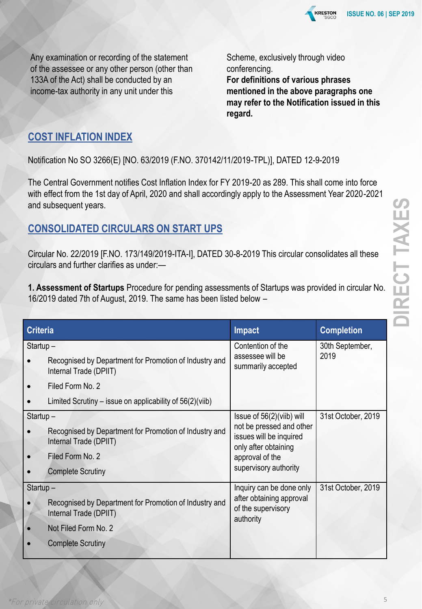

Any examination or recording of the statement of the assessee or any other person (other than 133A of the Act) shall be conducted by an income-tax authority in any unit under this

Scheme, exclusively through video conferencing. **For definitions of various phrases mentioned in the above paragraphs one may refer to the Notification issued in this regard.**

#### **COST INFLATION INDEX**

Notification No SO 3266(E) [NO. 63/2019 (F.NO. 370142/11/2019-TPL)], DATED 12-9-2019

The Central Government notifies Cost Inflation Index for FY 2019-20 as 289. This shall come into force with effect from the 1st day of April, 2020 and shall accordingly apply to the Assessment Year 2020-2021 and subsequent years.

#### **CONSOLIDATED CIRCULARS ON START UPS**

Circular No. 22/2019 [F.NO. 173/149/2019-ITA-I], DATED 30-8-2019 This circular consolidates all these circulars and further clarifies as under:—

**1. Assessment of Startups** Procedure for pending assessments of Startups was provided in circular No. 16/2019 dated 7th of August, 2019. The same has been listed below –

| <b>Criteria</b> |                                                                                  | <b>Impact</b>                                                                                  | <b>Completion</b>  |
|-----------------|----------------------------------------------------------------------------------|------------------------------------------------------------------------------------------------|--------------------|
| Startup-        |                                                                                  | Contention of the                                                                              | 30th September,    |
|                 | Recognised by Department for Promotion of Industry and<br>Internal Trade (DPIIT) | assessee will be<br>summarily accepted                                                         | 2019               |
|                 | Filed Form No. 2                                                                 |                                                                                                |                    |
|                 | Limited Scrutiny – issue on applicability of $56(2)$ (viib)                      |                                                                                                |                    |
| $Startup -$     |                                                                                  | Issue of 56(2)(viib) will                                                                      | 31st October, 2019 |
|                 | Recognised by Department for Promotion of Industry and<br>Internal Trade (DPIIT) | not be pressed and other<br>issues will be inquired<br>only after obtaining<br>approval of the |                    |
|                 | Filed Form No. 2                                                                 |                                                                                                |                    |
|                 | <b>Complete Scrutiny</b>                                                         | supervisory authority                                                                          |                    |
| $Startup -$     |                                                                                  | Inquiry can be done only                                                                       | 31st October, 2019 |
|                 | Recognised by Department for Promotion of Industry and<br>Internal Trade (DPIIT) | after obtaining approval<br>of the supervisory<br>authority                                    |                    |
|                 | Not Filed Form No. 2                                                             |                                                                                                |                    |
|                 | <b>Complete Scrutiny</b>                                                         |                                                                                                |                    |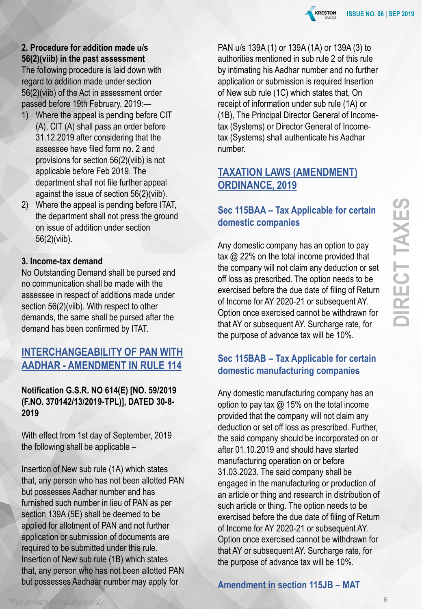

#### **2. Procedure for addition made u/s 56(2)(viib) in the past assessment**

The following procedure is laid down with regard to addition made under section 56(2)(viib) of the Act in assessment order passed before 19th February, 2019:—

- 1) Where the appeal is pending before CIT (A), CIT (A) shall pass an order before 31.12.2019 after considering that the assessee have filed form no. 2 and provisions for section 56(2)(viib) is not applicable before Feb 2019. The department shall not file further appeal against the issue of section 56(2)(viib).
- 2) Where the appeal is pending before ITAT, the department shall not press the ground on issue of addition under section 56(2)(viib).

#### **3. Income-tax demand**

No Outstanding Demand shall be pursed and no communication shall be made with the assessee in respect of additions made under section 56(2)(viib). With respect to other demands, the same shall be pursed after the demand has been confirmed by ITAT.

#### **INTERCHANGEABILITY OF PAN WITH AADHAR - AMENDMENT IN RULE 114**

#### **Notification G.S.R. NO 614(E) [NO. 59/2019 (F.NO. 370142/13/2019-TPL)], DATED 30-8- 2019**

With effect from 1st day of September, 2019 the following shall be applicable –

Insertion of New sub rule (1A) which states that, any person who has not been allotted PAN but possesses Aadhar number and has furnished such number in lieu of PAN as per section 139A (5E) shall be deemed to be applied for allotment of PAN and not further application or submission of documents are required to be submitted under this rule. Insertion of New sub rule (1B) which states that, any person who has not been allotted PAN but possesses Aadhaar number may apply for

PAN u/s 139A (1) or 139A (1A) or 139A (3) to authorities mentioned in sub rule 2 of this rule by intimating his Aadhar number and no further application or submission is required Insertion of New sub rule (1C) which states that, On receipt of information under sub rule (1A) or (1B), The Principal Director General of Incometax (Systems) or Director General of Incometax (Systems) shall authenticate his Aadhar number.

#### **TAXATION LAWS (AMENDMENT) ORDINANCE, 2019**

#### **Sec 115BAA – Tax Applicable for certain domestic companies**

Any domestic company has an option to pay tax @ 22% on the total income provided that the company will not claim any deduction or set off loss as prescribed. The option needs to be exercised before the due date of filing of Return of Income for AY 2020-21 or subsequent AY. Option once exercised cannot be withdrawn for that AY or subsequent AY. Surcharge rate, for the purpose of advance tax will be 10%.

#### **Sec 115BAB – Tax Applicable for certain domestic manufacturing companies**

Any domestic manufacturing company has an option to pay tax  $\omega$  15% on the total income provided that the company will not claim any deduction or set off loss as prescribed. Further, the said company should be incorporated on or after 01.10.2019 and should have started manufacturing operation on or before 31.03.2023. The said company shall be engaged in the manufacturing or production of an article or thing and research in distribution of such article or thing. The option needs to be exercised before the due date of filing of Return of Income for AY 2020-21 or subsequent AY. Option once exercised cannot be withdrawn for that AY or subsequent AY. Surcharge rate, for the purpose of advance tax will be 10%.

#### **Amendment in section 115JB – MAT**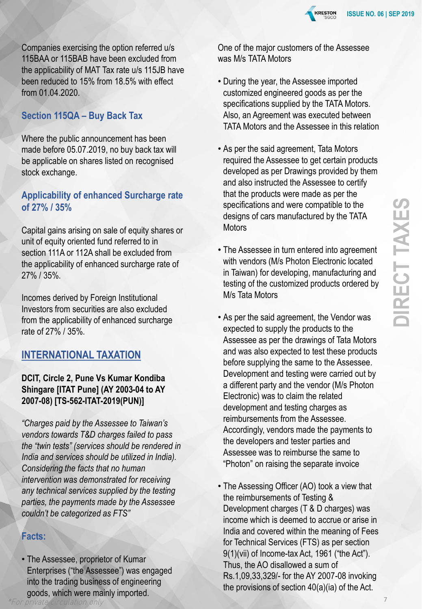

Companies exercising the option referred u/s 115BAA or 115BAB have been excluded from the applicability of MAT Tax rate u/s 115JB have been reduced to 15% from 18.5% with effect from 01.04.2020.

#### **Section 115QA – Buy Back Tax**

Where the public announcement has been made before 05.07.2019, no buy back tax will be applicable on shares listed on recognised stock exchange.

#### **Applicability of enhanced Surcharge rate of 27% / 35%**

Capital gains arising on sale of equity shares or unit of equity oriented fund referred to in section 111A or 112A shall be excluded from the applicability of enhanced surcharge rate of 27% / 35%.

Incomes derived by Foreign Institutional Investors from securities are also excluded from the applicability of enhanced surcharge rate of 27% / 35%.

#### **INTERNATIONAL TAXATION**

#### **DCIT, Circle 2, Pune Vs Kumar Kondiba Shingare [ITAT Pune] (AY 2003-04 to AY 2007-08) [TS-562-ITAT-2019(PUN)]**

*"Charges paid by the Assessee to Taiwan's vendors towards T&D charges failed to pass the "twin tests" (services should be rendered in India and services should be utilized in India). Considering the facts that no human intervention was demonstrated for receiving any technical services supplied by the testing parties, the payments made by the Assessee couldn't be categorized as FTS"*

#### **Facts:**

- The Assessee, proprietor of Kumar Enterprises ("the Assessee") was engaged into the trading business of engineering goods, which were mainly imported.
- 

One of the major customers of the Assessee was M/s TATA Motors

- During the year, the Assessee imported customized engineered goods as per the specifications supplied by the TATA Motors. Also, an Agreement was executed between TATA Motors and the Assessee in this relation
- As per the said agreement, Tata Motors required the Assessee to get certain products developed as per Drawings provided by them and also instructed the Assessee to certify that the products were made as per the specifications and were compatible to the designs of cars manufactured by the TATA **Motors**
- The Assessee in turn entered into agreement with vendors (M/s Photon Electronic located in Taiwan) for developing, manufacturing and testing of the customized products ordered by M/s Tata Motors
- As per the said agreement, the Vendor was expected to supply the products to the Assessee as per the drawings of Tata Motors and was also expected to test these products before supplying the same to the Assessee. Development and testing were carried out by a different party and the vendor (M/s Photon Electronic) was to claim the related development and testing charges as reimbursements from the Assessee. Accordingly, vendors made the payments to the developers and tester parties and Assessee was to reimburse the same to "Photon" on raising the separate invoice
- The Assessing Officer (AO) took a view that the reimbursements of Testing & Development charges (T & D charges) was income which is deemed to accrue or arise in India and covered within the meaning of Fees for Technical Services (FTS) as per section 9(1)(vii) of Income-tax Act, 1961 ("the Act"). Thus, the AO disallowed a sum of Rs.1,09,33,329/- for the AY 2007-08 invoking the provisions of section 40(a)(ia) of the Act.

7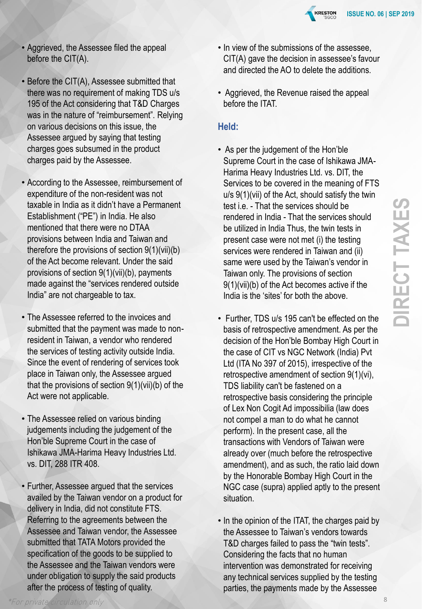

- Aggrieved, the Assessee filed the appeal before the CIT(A).
- Before the CIT(A), Assessee submitted that there was no requirement of making TDS u/s 195 of the Act considering that T&D Charges was in the nature of "reimbursement". Relying on various decisions on this issue, the Assessee argued by saying that testing charges goes subsumed in the product charges paid by the Assessee.
- According to the Assessee, reimbursement of expenditure of the non-resident was not taxable in India as it didn't have a Permanent Establishment ("PE") in India. He also mentioned that there were no DTAA provisions between India and Taiwan and therefore the provisions of section 9(1)(vii)(b) of the Act become relevant. Under the said provisions of section 9(1)(vii)(b), payments made against the "services rendered outside India" are not chargeable to tax.
- The Assessee referred to the invoices and submitted that the payment was made to nonresident in Taiwan, a vendor who rendered the services of testing activity outside India. Since the event of rendering of services took place in Taiwan only, the Assessee argued that the provisions of section 9(1)(vii)(b) of the Act were not applicable.
- The Assessee relied on various binding judgements including the judgement of the Hon'ble Supreme Court in the case of Ishikawa JMA-Harima Heavy Industries Ltd. vs. DIT, 288 ITR 408.
- Further, Assessee argued that the services availed by the Taiwan vendor on a product for delivery in India, did not constitute FTS. Referring to the agreements between the Assessee and Taiwan vendor, the Assessee submitted that TATA Motors provided the specification of the goods to be supplied to the Assessee and the Taiwan vendors were under obligation to supply the said products after the process of testing of quality.
- In view of the submissions of the assessee, CIT(A) gave the decision in assessee's favour and directed the AO to delete the additions.
- Aggrieved, the Revenue raised the appeal before the ITAT.

#### **Held:**

- As per the judgement of the Hon'ble Supreme Court in the case of Ishikawa JMA-Harima Heavy Industries Ltd. vs. DIT, the Services to be covered in the meaning of FTS u/s 9(1)(vii) of the Act, should satisfy the twin test i.e. - That the services should be rendered in India - That the services should be utilized in India Thus, the twin tests in present case were not met (i) the testing services were rendered in Taiwan and (ii) same were used by the Taiwan's vendor in Taiwan only. The provisions of section 9(1)(vii)(b) of the Act becomes active if the India is the 'sites' for both the above.
- Further, TDS u/s 195 can't be effected on the basis of retrospective amendment. As per the decision of the Hon'ble Bombay High Court in the case of CIT vs NGC Network (India) Pvt Ltd (ITA No 397 of 2015), irrespective of the retrospective amendment of section 9(1)(vi), TDS liability can't be fastened on a retrospective basis considering the principle of Lex Non Cogit Ad impossibilia (law does not compel a man to do what he cannot perform). In the present case, all the transactions with Vendors of Taiwan were already over (much before the retrospective amendment), and as such, the ratio laid down by the Honorable Bombay High Court in the NGC case (supra) applied aptly to the present situation.
- In the opinion of the ITAT, the charges paid by the Assessee to Taiwan's vendors towards T&D charges failed to pass the "twin tests". Considering the facts that no human intervention was demonstrated for receiving any technical services supplied by the testing parties, the payments made by the Assessee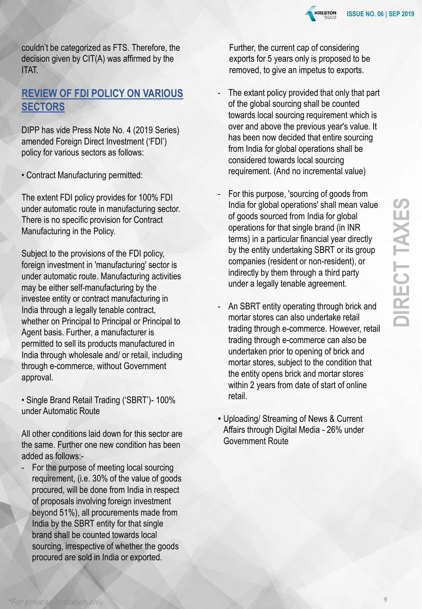

couldn't be categorized as FTS. Therefore, the decision given by CIT(A) was affirmed by the ITAT.

#### **REVIEW OF FDI POLICY ON VARIOUS SECTORS**

DIPP has vide Press Note No. 4 (2019 Series) amended Foreign Direct Investment ('FDI') policy for various sectors as follows:

• Contract Manufacturing permitted:

The extent FDI policy provides for 100% FDI under automatic route in manufacturing sector. There is no specific provision for Contract Manufacturing in the Policy.

Subject to the provisions of the FDI policy, foreign investment in 'manufacturing' sector is under automatic route. Manufacturing activities may be either self-manufacturing by the investee entity or contract manufacturing in India through a legally tenable contract, whether on Principal to Principal or Principal to Agent basis. Further, a manufacturer is permitted to sell its products manufactured in India through wholesale and/ or retail, including through e-commerce, without Government approval.

• Single Brand Retail Trading ('SBRT')- 100% under Automatic Route

All other conditions laid down for this sector are the same. Further one new condition has been added as follows:-

For the purpose of meeting local sourcing requirement, (i.e. 30% of the value of goods procured, will be done from India in respect of proposals involving foreign investment beyond 51%), all procurements made from India by the SBRT entity for that single brand shall be counted towards local sourcing, irrespective of whether the goods procured are sold in India or exported.

Further, the current cap of considering exports for 5 years only is proposed to be removed, to give an impetus to exports.

- The extant policy provided that only that part of the global sourcing shall be counted towards local sourcing requirement which is over and above the previous year's value. It has been now decided that entire sourcing from India for global operations shall be considered towards local sourcing requirement. (And no incremental value)
- For this purpose, 'sourcing of goods from India for global operations' shall mean value of goods sourced from India for global operations for that single brand (in INR terms) in a particular financial year directly by the entity undertaking SBRT or its group companies (resident or non-resident), or indirectly by them through a third party under a legally tenable agreement.
- An SBRT entity operating through brick and mortar stores can also undertake retail trading through e-commerce. However, retail trading through e-commerce can also be undertaken prior to opening of brick and mortar stores, subject to the condition that the entity opens brick and mortar stores within 2 years from date of start of online retail.
- Uploading/ Streaming of News & Current Affairs through Digital Media - 26% under Government Route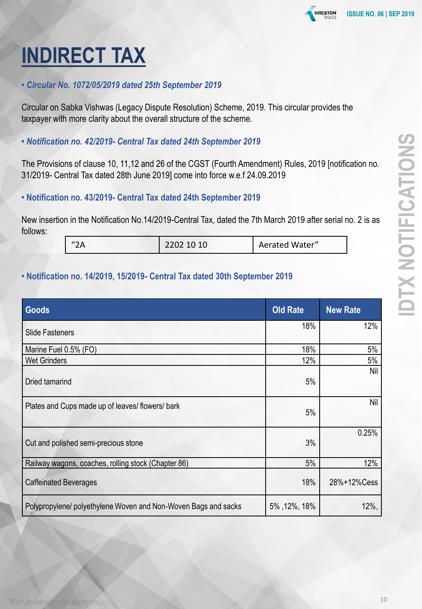## **INDIRECT TAX**

#### *• Circular No. 1072/05/2019 dated 25th September 2019*

Circular on Sabka Vishwas (Legacy Dispute Resolution) Scheme, 2019. This circular provides the taxpayer with more clarity about the overall structure of the scheme.

#### *• Notification no. 42/2019- Central Tax dated 24th September 2019*

The Provisions of clause 10, 11,12 and 26 of the CGST (Fourth Amendment) Rules, 2019 [notification no. 31/2019- Central Tax dated 28th June 2019] come into force w.e.f 24.09.2019

#### **• Notification no. 43/2019- Central Tax dated 24th September 2019**

New insertion in the Notification No.14/2019-Central Tax, dated the 7th March 2019 after serial no. 2 is as follows:

| $\mathbf{u} \cdot \mathbf{n}$ | 2202 10 10 | Aerated Water" |  |
|-------------------------------|------------|----------------|--|
|-------------------------------|------------|----------------|--|

#### **• Notification no. 14/2019, 15/2019- Central Tax dated 30th September 2019**

| Goods                                                          | <b>Old Rate</b> | <b>New Rate</b> |
|----------------------------------------------------------------|-----------------|-----------------|
| <b>Slide Fasteners</b>                                         | 18%             | 12%             |
| Marine Fuel 0.5% (FO)                                          | 18%             | 5%              |
| <b>Wet Grinders</b>                                            | 12%             | 5%              |
| Dried tamarind                                                 | 5%              | Nil             |
| Plates and Cups made up of leaves/flowers/bark                 | 5%              | Nil             |
| Cut and polished semi-precious stone                           | 3%              | 0.25%           |
| Railway wagons, coaches, rolling stock (Chapter 86)            | 5%              | 12%             |
| <b>Caffeinated Beverages</b>                                   | 18%             | 28%+12%Cess     |
| Polypropylene/ polyethylene Woven and Non-Woven Bags and sacks | 5%, 12%, 18%    | $12\%$ ,        |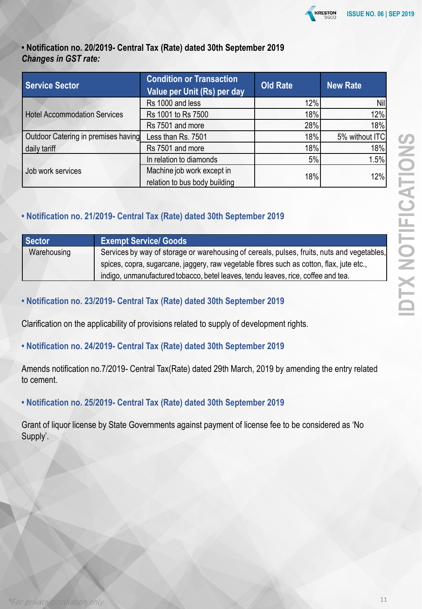

#### **• Notification no. 20/2019- Central Tax (Rate) dated 30th September 2019** *Changes in GST rate:*

| <b>Service Sector</b>               | <b>Condition or Transaction</b><br>Value per Unit (Rs) per day | <b>Old Rate</b> | <b>New Rate</b> |
|-------------------------------------|----------------------------------------------------------------|-----------------|-----------------|
|                                     | Rs 1000 and less                                               | 12%             | Nil             |
| <b>Hotel Accommodation Services</b> | Rs 1001 to Rs 7500                                             | 18%             | 12%             |
|                                     | Rs 7501 and more                                               | 28%             | 18%             |
| Outdoor Catering in premises having | Less than Rs. 7501                                             | 18%             | 5% without ITC  |
| daily tariff                        | Rs 7501 and more                                               | 18%             | 18%             |
|                                     | In relation to diamonds                                        | 5%              | 1.5%            |
| Job work services                   | Machine job work except in<br>relation to bus body building    | 18%             | 12%             |

#### **• Notification no. 21/2019- Central Tax (Rate) dated 30th September 2019**

| Sector      | <b>Exempt Service/ Goods</b>                                                               |
|-------------|--------------------------------------------------------------------------------------------|
| Warehousing | Services by way of storage or warehousing of cereals, pulses, fruits, nuts and vegetables, |
|             | spices, copra, sugarcane, jaggery, raw vegetable fibres such as cotton, flax, jute etc.,   |
|             | indigo, unmanufactured tobacco, betel leaves, tendu leaves, rice, coffee and tea.          |

#### **• Notification no. 23/2019- Central Tax (Rate) dated 30th September 2019**

Clarification on the applicability of provisions related to supply of development rights.

#### **• Notification no. 24/2019- Central Tax (Rate) dated 30th September 2019**

Amends notification no.7/2019- Central Tax(Rate) dated 29th March, 2019 by amending the entry related to cement.

#### **• Notification no. 25/2019- Central Tax (Rate) dated 30th September 2019**

Grant of liquor license by State Governments against payment of license fee to be considered as 'No Supply'.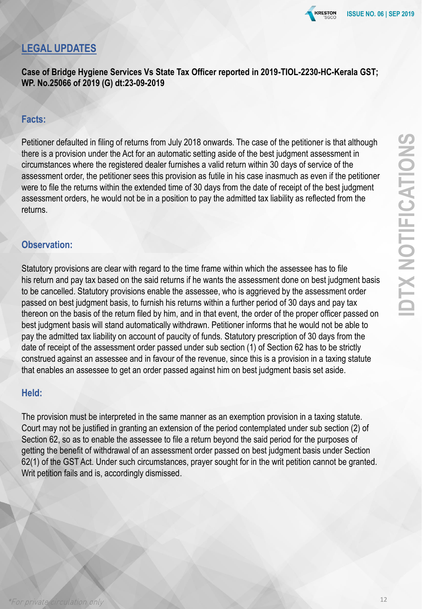**KRESTON** 

### **LEGAL UPDATES**

**Case of Bridge Hygiene Services Vs State Tax Officer reported in 2019-TIOL-2230-HC-Kerala GST; WP. No.25066 of 2019 (G) dt:23-09-2019** 

#### **Facts:**

Petitioner defaulted in filing of returns from July 2018 onwards. The case of the petitioner is that although there is a provision under the Act for an automatic setting aside of the best judgment assessment in circumstances where the registered dealer furnishes a valid return within 30 days of service of the assessment order, the petitioner sees this provision as futile in his case inasmuch as even if the petitioner were to file the returns within the extended time of 30 days from the date of receipt of the best judgment assessment orders, he would not be in a position to pay the admitted tax liability as reflected from the returns.

#### **Observation:**

Statutory provisions are clear with regard to the time frame within which the assessee has to file his return and pay tax based on the said returns if he wants the assessment done on best judgment basis to be cancelled. Statutory provisions enable the assessee, who is aggrieved by the assessment order passed on best judgment basis, to furnish his returns within a further period of 30 days and pay tax thereon on the basis of the return filed by him, and in that event, the order of the proper officer passed on best judgment basis will stand automatically withdrawn. Petitioner informs that he would not be able to pay the admitted tax liability on account of paucity of funds. Statutory prescription of 30 days from the date of receipt of the assessment order passed under sub section (1) of Section 62 has to be strictly construed against an assessee and in favour of the revenue, since this is a provision in a taxing statute that enables an assessee to get an order passed against him on best judgment basis set aside.

#### **Held:**

The provision must be interpreted in the same manner as an exemption provision in a taxing statute. Court may not be justified in granting an extension of the period contemplated under sub section (2) of Section 62, so as to enable the assessee to file a return beyond the said period for the purposes of getting the benefit of withdrawal of an assessment order passed on best judgment basis under Section 62(1) of the GST Act. Under such circumstances, prayer sought for in the writ petition cannot be granted. Writ petition fails and is, accordingly dismissed.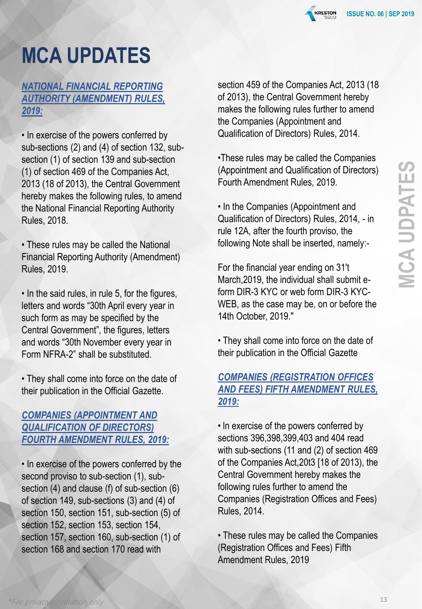

### **MCA UPDATES**

#### *NATIONAL FINANCIAL REPORTING AUTHORITY (AMENDMENT) RULES, 2019:*

• In exercise of the powers conferred by sub-sections (2) and (4) of section 132, subsection (1) of section 139 and sub-section (1) of section 469 of the Companies Act, 2013 (18 of 2013), the Central Government hereby makes the following rules, to amend the National Financial Reporting Authority Rules, 2018.

• These rules may be called the National Financial Reporting Authority (Amendment) Rules, 2019.

• In the said rules, in rule 5, for the figures, letters and words "30th April every year in such form as may be specified by the Central Government", the figures, letters and words "30th November every year in Form NFRA-2" shall be substituted.

• They shall come into force on the date of their publication in the Official Gazette.

#### *COMPANIES (APPOINTMENT AND QUALIFICATION OF DIRECTORS) FOURTH AMENDMENT RULES, 2019:*

• In exercise of the powers conferred by the second proviso to sub-section (1), subsection (4) and clause (f) of sub-section (6) of section 149, sub-sections (3) and (4) of section 150, section 151, sub-section (5) of section 152, section 153, section 154, section 157, section 160, sub-section (1) of section 168 and section 170 read with

section 459 of the Companies Act, 2013 (18 of 2013), the Central Government hereby makes the following rules further to amend the Companies (Appointment and Qualification of Directors) Rules, 2014.

•These rules may be called the Companies (Appointment and Qualification of Directors) Fourth Amendment Rules, 2019.

• In the Companies (Appointment and Qualification of Directors) Rules, 2014, - in rule 12A, after the fourth proviso, the following Note shall be inserted, namely:-

For the financial year ending on 31't March,2019, the individual shall submit eform DIR-3 KYC or web form DIR-3 KYC-WEB, as the case may be, on or before the 14th October, 2019."

• They shall come into force on the date of their publication in the Official Gazette

#### *COMPANIES (REGISTRATION OFFICES AND FEES) FIFTH AMENDMENT RULES, 2019:*

• ln exercise of the powers conferred by sections 396,398,399,403 and 404 read with sub-sections (11 and (2) of section 469 of the Companies Act,20t3 [18 of 2013), the Central Government hereby makes the following rules further to amend the Companies (Registration Offices and Fees) Rules, 2014.

• These rules may be called the Companies (Registration Offices and Fees) Fifth Amendment Rules, 2019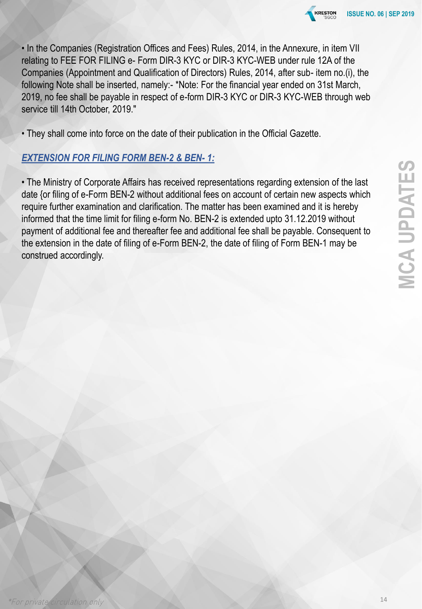

• In the Companies (Registration Offices and Fees) Rules, 2014, in the Annexure, in item VII relating to FEE FOR FILING e- Form DIR-3 KYC or DIR-3 KYC-WEB under rule 12A of the Companies (Appointment and Qualification of Directors) Rules, 2014, after sub- item no.(i), the following Note shall be inserted, namely:- \*Note: For the financial year ended on 31st March, 2019, no fee shall be payable in respect of e-form DIR-3 KYC or DIR-3 KYC-WEB through web service till 14th October, 2019."

• They shall come into force on the date of their publication in the Official Gazette.

#### *EXTENSION FOR FILING FORM BEN-2 & BEN- 1:*

• The Ministry of Corporate Affairs has received representations regarding extension of the last date {or filing of e-Form BEN-2 without additional fees on account of certain new aspects which require further examination and clarification. The matter has been examined and it is hereby informed that the time limit for filing e-form No. BEN-2 is extended upto 31.12.2019 without payment of additional fee and thereafter fee and additional fee shall be payable. Consequent to the extension in the date of filing of e-Form BEN-2, the date of filing of Form BEN-1 may be construed accordingly.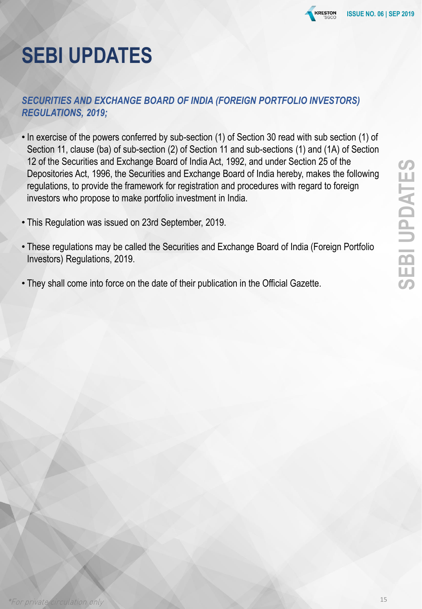

### **SEBI UPDATES**

#### *SECURITIES AND EXCHANGE BOARD OF INDIA (FOREIGN PORTFOLIO INVESTORS) REGULATIONS, 2019;*

- In exercise of the powers conferred by sub-section (1) of Section 30 read with sub section (1) of Section 11, clause (ba) of sub-section (2) of Section 11 and sub-sections (1) and (1A) of Section 12 of the Securities and Exchange Board of India Act, 1992, and under Section 25 of the Depositories Act, 1996, the Securities and Exchange Board of India hereby, makes the following regulations, to provide the framework for registration and procedures with regard to foreign investors who propose to make portfolio investment in India.
- This Regulation was issued on 23rd September, 2019.
- These regulations may be called the Securities and Exchange Board of India (Foreign Portfolio Investors) Regulations, 2019.
- They shall come into force on the date of their publication in the Official Gazette.